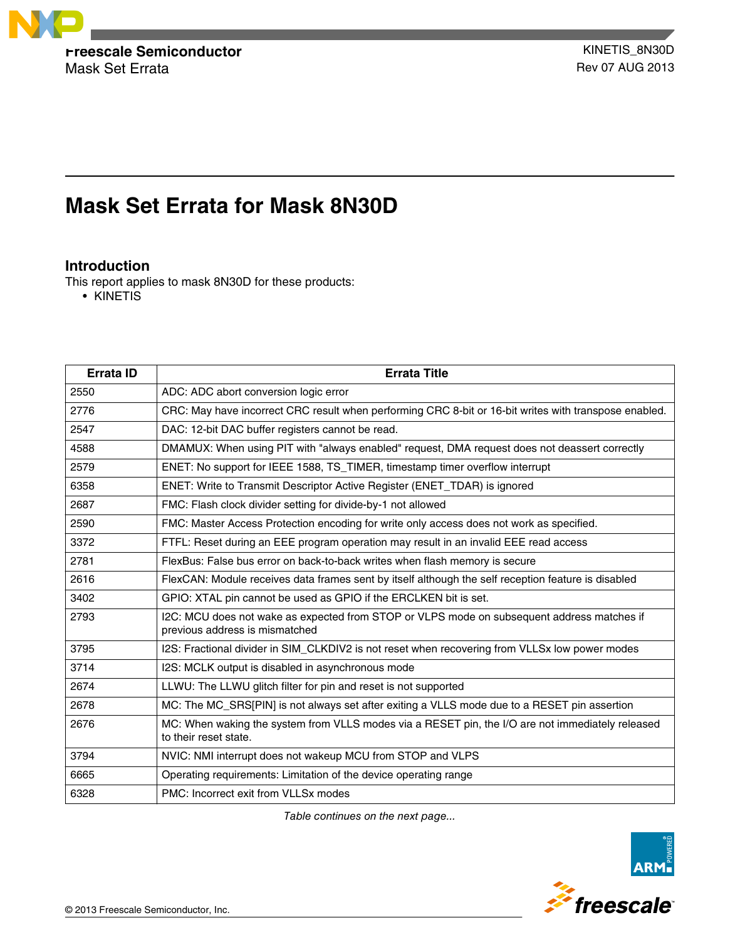

Mask Set Errata **Rev 07 AUG 2013** 

# **Mask Set Errata for Mask 8N30D**

# **Introduction**

This report applies to mask 8N30D for these products:

• KINETIS

| <b>Errata ID</b> | <b>Errata Title</b>                                                                                                          |
|------------------|------------------------------------------------------------------------------------------------------------------------------|
| 2550             | ADC: ADC abort conversion logic error                                                                                        |
| 2776             | CRC: May have incorrect CRC result when performing CRC 8-bit or 16-bit writes with transpose enabled.                        |
| 2547             | DAC: 12-bit DAC buffer registers cannot be read.                                                                             |
| 4588             | DMAMUX: When using PIT with "always enabled" request, DMA request does not deassert correctly                                |
| 2579             | ENET: No support for IEEE 1588, TS_TIMER, timestamp timer overflow interrupt                                                 |
| 6358             | ENET: Write to Transmit Descriptor Active Register (ENET_TDAR) is ignored                                                    |
| 2687             | FMC: Flash clock divider setting for divide-by-1 not allowed                                                                 |
| 2590             | FMC: Master Access Protection encoding for write only access does not work as specified.                                     |
| 3372             | FTFL: Reset during an EEE program operation may result in an invalid EEE read access                                         |
| 2781             | FlexBus: False bus error on back-to-back writes when flash memory is secure                                                  |
| 2616             | FlexCAN: Module receives data frames sent by itself although the self reception feature is disabled                          |
| 3402             | GPIO: XTAL pin cannot be used as GPIO if the ERCLKEN bit is set.                                                             |
| 2793             | I2C: MCU does not wake as expected from STOP or VLPS mode on subsequent address matches if<br>previous address is mismatched |
| 3795             | I2S: Fractional divider in SIM_CLKDIV2 is not reset when recovering from VLLSx low power modes                               |
| 3714             | I2S: MCLK output is disabled in asynchronous mode                                                                            |
| 2674             | LLWU: The LLWU glitch filter for pin and reset is not supported                                                              |
| 2678             | MC: The MC_SRS[PIN] is not always set after exiting a VLLS mode due to a RESET pin assertion                                 |
| 2676             | MC: When waking the system from VLLS modes via a RESET pin, the I/O are not immediately released<br>to their reset state.    |
| 3794             | NVIC: NMI interrupt does not wakeup MCU from STOP and VLPS                                                                   |
| 6665             | Operating requirements: Limitation of the device operating range                                                             |
| 6328             | PMC: Incorrect exit from VLLSx modes                                                                                         |

*Table continues on the next page...*

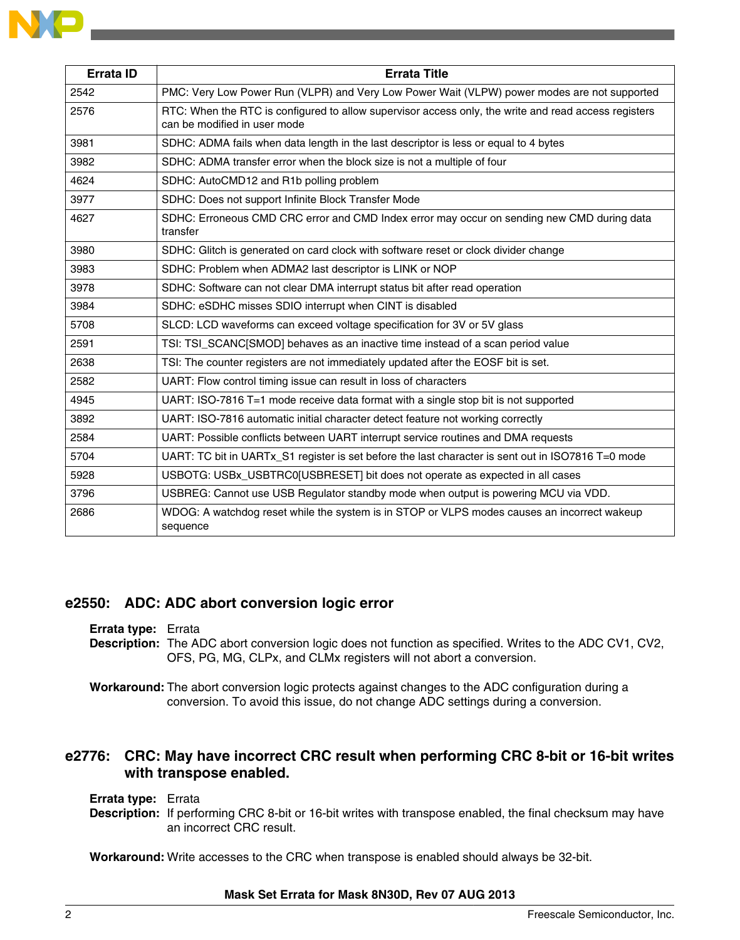| <b>Errata ID</b> | <b>Errata Title</b>                                                                                                                  |
|------------------|--------------------------------------------------------------------------------------------------------------------------------------|
| 2542             | PMC: Very Low Power Run (VLPR) and Very Low Power Wait (VLPW) power modes are not supported                                          |
| 2576             | RTC: When the RTC is configured to allow supervisor access only, the write and read access registers<br>can be modified in user mode |
| 3981             | SDHC: ADMA fails when data length in the last descriptor is less or equal to 4 bytes                                                 |
| 3982             | SDHC: ADMA transfer error when the block size is not a multiple of four                                                              |
| 4624             | SDHC: AutoCMD12 and R1b polling problem                                                                                              |
| 3977             | SDHC: Does not support Infinite Block Transfer Mode                                                                                  |
| 4627             | SDHC: Erroneous CMD CRC error and CMD Index error may occur on sending new CMD during data<br>transfer                               |
| 3980             | SDHC: Glitch is generated on card clock with software reset or clock divider change                                                  |
| 3983             | SDHC: Problem when ADMA2 last descriptor is LINK or NOP                                                                              |
| 3978             | SDHC: Software can not clear DMA interrupt status bit after read operation                                                           |
| 3984             | SDHC: eSDHC misses SDIO interrupt when CINT is disabled                                                                              |
| 5708             | SLCD: LCD waveforms can exceed voltage specification for 3V or 5V glass                                                              |
| 2591             | TSI: TSI_SCANC[SMOD] behaves as an inactive time instead of a scan period value                                                      |
| 2638             | TSI: The counter registers are not immediately updated after the EOSF bit is set.                                                    |
| 2582             | UART: Flow control timing issue can result in loss of characters                                                                     |
| 4945             | UART: ISO-7816 T=1 mode receive data format with a single stop bit is not supported                                                  |
| 3892             | UART: ISO-7816 automatic initial character detect feature not working correctly                                                      |
| 2584             | UART: Possible conflicts between UART interrupt service routines and DMA requests                                                    |
| 5704             | UART: TC bit in UARTx S1 register is set before the last character is sent out in ISO7816 T=0 mode                                   |
| 5928             | USBOTG: USBx_USBTRC0[USBRESET] bit does not operate as expected in all cases                                                         |
| 3796             | USBREG: Cannot use USB Regulator standby mode when output is powering MCU via VDD.                                                   |
| 2686             | WDOG: A watchdog reset while the system is in STOP or VLPS modes causes an incorrect wakeup<br>sequence                              |

### **e2550: ADC: ADC abort conversion logic error**

**Errata type:** Errata

- **Description:** The ADC abort conversion logic does not function as specified. Writes to the ADC CV1, CV2, OFS, PG, MG, CLPx, and CLMx registers will not abort a conversion.
- **Workaround:** The abort conversion logic protects against changes to the ADC configuration during a conversion. To avoid this issue, do not change ADC settings during a conversion.

# **e2776: CRC: May have incorrect CRC result when performing CRC 8-bit or 16-bit writes with transpose enabled.**

**Errata type:** Errata

**Description:** If performing CRC 8-bit or 16-bit writes with transpose enabled, the final checksum may have an incorrect CRC result.

**Workaround:** Write accesses to the CRC when transpose is enabled should always be 32-bit.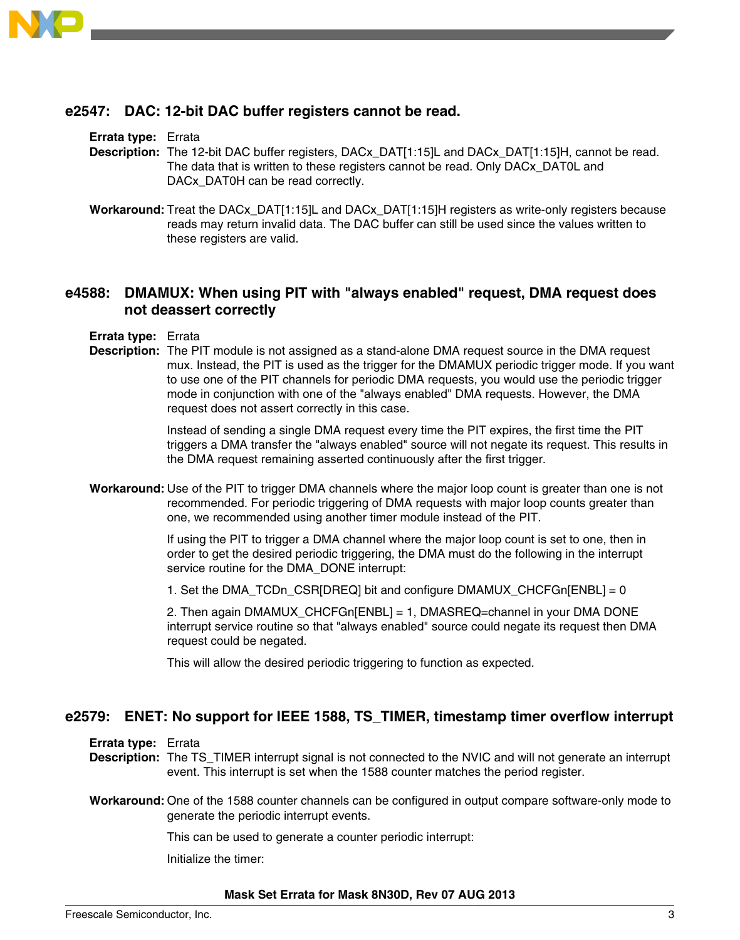

### **e2547: DAC: 12-bit DAC buffer registers cannot be read.**

#### **Errata type:** Errata

**Description:** The 12-bit DAC buffer registers, DACx\_DAT[1:15]L and DACx\_DAT[1:15]H, cannot be read. The data that is written to these registers cannot be read. Only DACx\_DAT0L and DACx DAT0H can be read correctly.

**Workaround:** Treat the DACx\_DAT[1:15]L and DACx\_DAT[1:15]H registers as write-only registers because reads may return invalid data. The DAC buffer can still be used since the values written to these registers are valid.

# **e4588: DMAMUX: When using PIT with "always enabled" request, DMA request does not deassert correctly**

**Errata type:** Errata

**Description:** The PIT module is not assigned as a stand-alone DMA request source in the DMA request mux. Instead, the PIT is used as the trigger for the DMAMUX periodic trigger mode. If you want to use one of the PIT channels for periodic DMA requests, you would use the periodic trigger mode in conjunction with one of the "always enabled" DMA requests. However, the DMA request does not assert correctly in this case.

> Instead of sending a single DMA request every time the PIT expires, the first time the PIT triggers a DMA transfer the "always enabled" source will not negate its request. This results in the DMA request remaining asserted continuously after the first trigger.

**Workaround:** Use of the PIT to trigger DMA channels where the major loop count is greater than one is not recommended. For periodic triggering of DMA requests with major loop counts greater than one, we recommended using another timer module instead of the PIT.

> If using the PIT to trigger a DMA channel where the major loop count is set to one, then in order to get the desired periodic triggering, the DMA must do the following in the interrupt service routine for the DMA\_DONE interrupt:

1. Set the DMA\_TCDn\_CSR[DREQ] bit and configure DMAMUX\_CHCFGn[ENBL] = 0

2. Then again DMAMUX\_CHCFGn[ENBL] = 1, DMASREQ=channel in your DMA DONE interrupt service routine so that "always enabled" source could negate its request then DMA request could be negated.

This will allow the desired periodic triggering to function as expected.

### **e2579: ENET: No support for IEEE 1588, TS\_TIMER, timestamp timer overflow interrupt**

**Errata type:** Errata

**Description:** The TS\_TIMER interrupt signal is not connected to the NVIC and will not generate an interrupt event. This interrupt is set when the 1588 counter matches the period register.

**Workaround:** One of the 1588 counter channels can be configured in output compare software-only mode to generate the periodic interrupt events.

This can be used to generate a counter periodic interrupt:

Initialize the timer: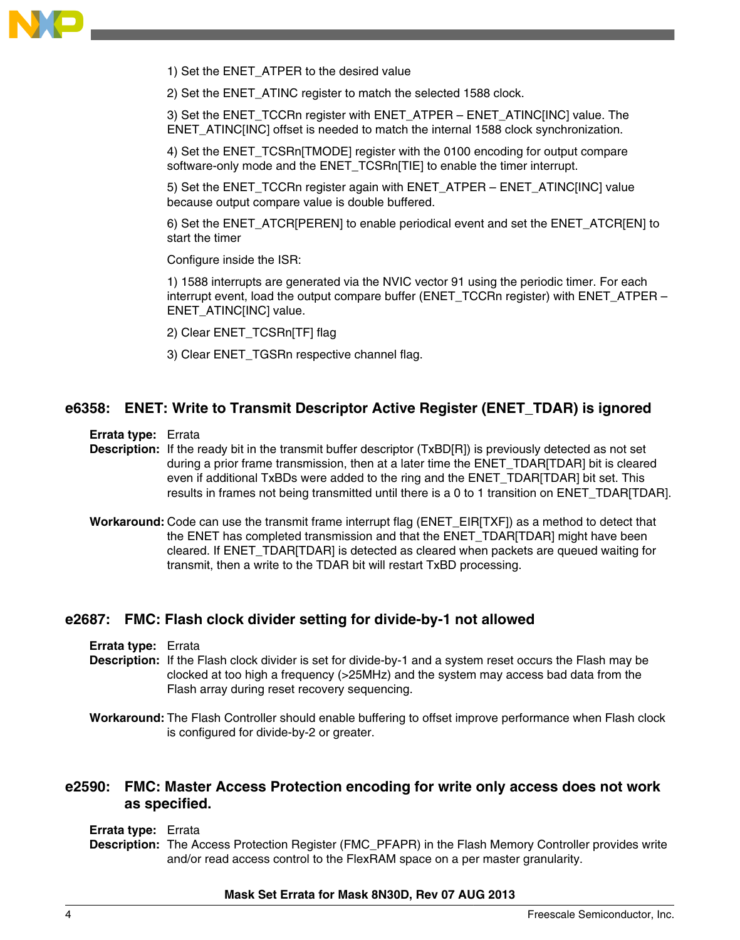

1) Set the ENET\_ATPER to the desired value

2) Set the ENET\_ATINC register to match the selected 1588 clock.

3) Set the ENET\_TCCRn register with ENET\_ATPER – ENET\_ATINC[INC] value. The ENET\_ATINC[INC] offset is needed to match the internal 1588 clock synchronization.

4) Set the ENET TCSRn[TMODE] register with the 0100 encoding for output compare software-only mode and the ENET\_TCSRn[TIE] to enable the timer interrupt.

5) Set the ENET\_TCCRn register again with ENET\_ATPER – ENET\_ATINC[INC] value because output compare value is double buffered.

6) Set the ENET\_ATCR[PEREN] to enable periodical event and set the ENET\_ATCR[EN] to start the timer

Configure inside the ISR:

1) 1588 interrupts are generated via the NVIC vector 91 using the periodic timer. For each interrupt event, load the output compare buffer (ENET\_TCCRn register) with ENET\_ATPER – ENET\_ATINC[INC] value.

- 2) Clear ENET\_TCSRn[TF] flag
- 3) Clear ENET\_TGSRn respective channel flag.

### **e6358: ENET: Write to Transmit Descriptor Active Register (ENET\_TDAR) is ignored**

**Errata type:** Errata

**Description:** If the ready bit in the transmit buffer descriptor (TxBD[R]) is previously detected as not set during a prior frame transmission, then at a later time the ENET\_TDAR[TDAR] bit is cleared even if additional TxBDs were added to the ring and the ENET\_TDAR[TDAR] bit set. This results in frames not being transmitted until there is a 0 to 1 transition on ENET\_TDAR[TDAR].

**Workaround:** Code can use the transmit frame interrupt flag (ENET\_EIR[TXF]) as a method to detect that the ENET has completed transmission and that the ENET\_TDAR[TDAR] might have been cleared. If ENET\_TDAR[TDAR] is detected as cleared when packets are queued waiting for transmit, then a write to the TDAR bit will restart TxBD processing.

#### **e2687: FMC: Flash clock divider setting for divide-by-1 not allowed**

**Errata type:** Errata

- **Description:** If the Flash clock divider is set for divide-by-1 and a system reset occurs the Flash may be clocked at too high a frequency (>25MHz) and the system may access bad data from the Flash array during reset recovery sequencing.
- **Workaround:** The Flash Controller should enable buffering to offset improve performance when Flash clock is configured for divide-by-2 or greater.

### **e2590: FMC: Master Access Protection encoding for write only access does not work as specified.**

**Errata type:** Errata

**Description:** The Access Protection Register (FMC\_PFAPR) in the Flash Memory Controller provides write and/or read access control to the FlexRAM space on a per master granularity.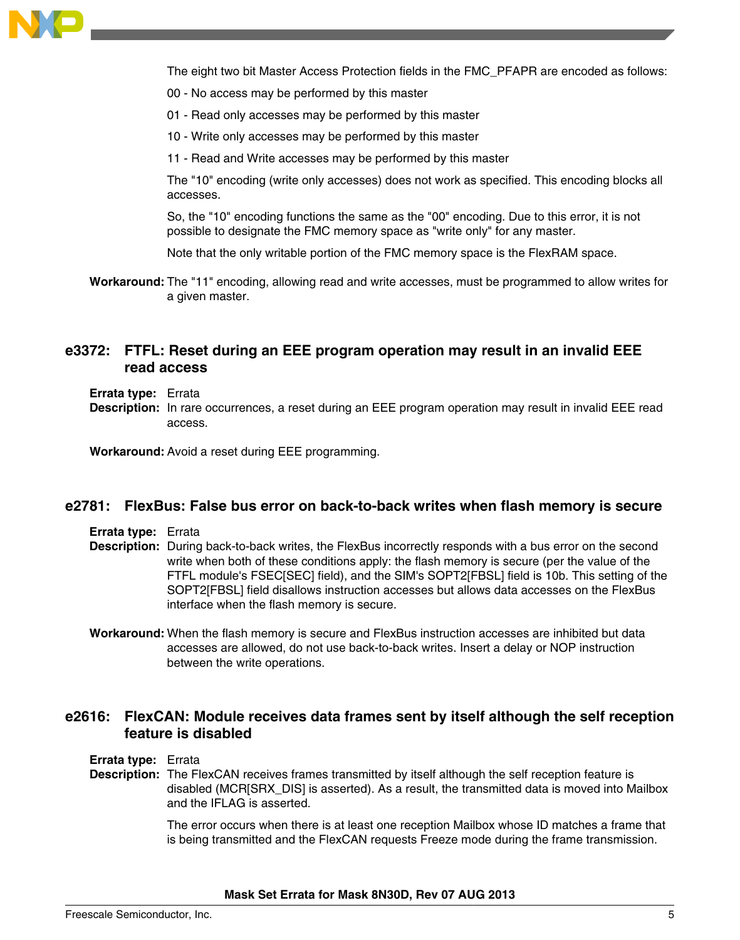

The eight two bit Master Access Protection fields in the FMC\_PFAPR are encoded as follows:

- 00 No access may be performed by this master
- 01 Read only accesses may be performed by this master
- 10 Write only accesses may be performed by this master
- 11 Read and Write accesses may be performed by this master

The "10" encoding (write only accesses) does not work as specified. This encoding blocks all accesses.

So, the "10" encoding functions the same as the "00" encoding. Due to this error, it is not possible to designate the FMC memory space as "write only" for any master.

Note that the only writable portion of the FMC memory space is the FlexRAM space.

**Workaround:** The "11" encoding, allowing read and write accesses, must be programmed to allow writes for a given master.

### **e3372: FTFL: Reset during an EEE program operation may result in an invalid EEE read access**

**Errata type:** Errata

**Description:** In rare occurrences, a reset during an EEE program operation may result in invalid EEE read access.

**Workaround:** Avoid a reset during EEE programming.

#### **e2781: FlexBus: False bus error on back-to-back writes when flash memory is secure**

**Errata type:** Errata

- **Description:** During back-to-back writes, the FlexBus incorrectly responds with a bus error on the second write when both of these conditions apply: the flash memory is secure (per the value of the FTFL module's FSEC[SEC] field), and the SIM's SOPT2[FBSL] field is 10b. This setting of the SOPT2[FBSL] field disallows instruction accesses but allows data accesses on the FlexBus interface when the flash memory is secure.
- **Workaround:** When the flash memory is secure and FlexBus instruction accesses are inhibited but data accesses are allowed, do not use back-to-back writes. Insert a delay or NOP instruction between the write operations.

### **e2616: FlexCAN: Module receives data frames sent by itself although the self reception feature is disabled**

**Errata type:** Errata

**Description:** The FlexCAN receives frames transmitted by itself although the self reception feature is disabled (MCR[SRX\_DIS] is asserted). As a result, the transmitted data is moved into Mailbox and the IFLAG is asserted.

> The error occurs when there is at least one reception Mailbox whose ID matches a frame that is being transmitted and the FlexCAN requests Freeze mode during the frame transmission.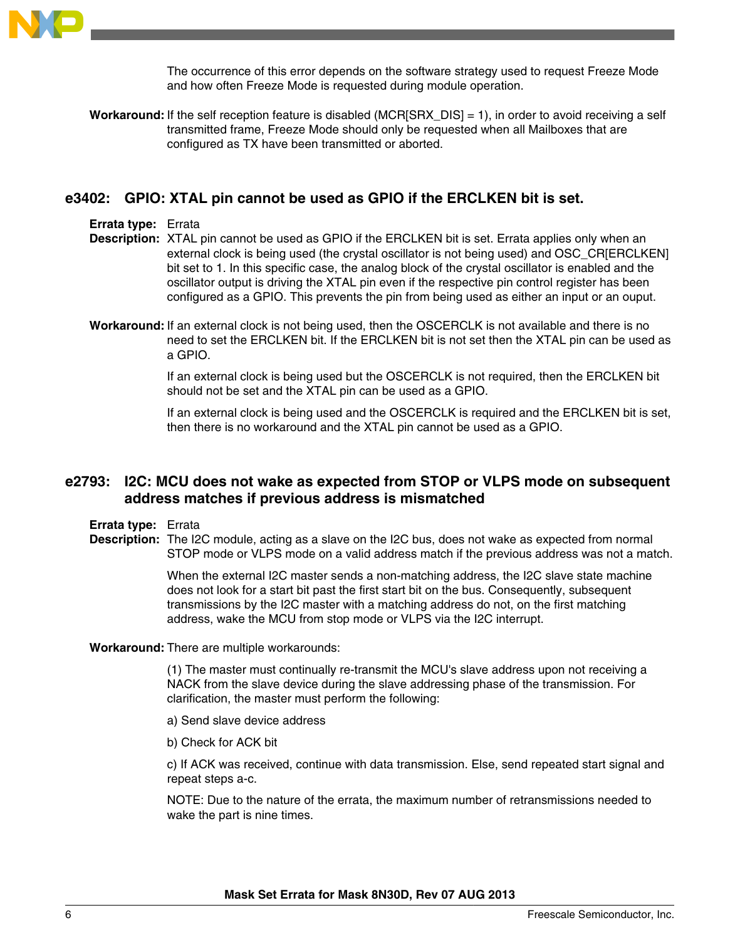

The occurrence of this error depends on the software strategy used to request Freeze Mode and how often Freeze Mode is requested during module operation.

**Workaround:** If the self reception feature is disabled (MCR[SRX\_DIS] = 1), in order to avoid receiving a self transmitted frame, Freeze Mode should only be requested when all Mailboxes that are configured as TX have been transmitted or aborted.

### **e3402: GPIO: XTAL pin cannot be used as GPIO if the ERCLKEN bit is set.**

#### **Errata type:** Errata

**Description:** XTAL pin cannot be used as GPIO if the ERCLKEN bit is set. Errata applies only when an external clock is being used (the crystal oscillator is not being used) and OSC\_CR[ERCLKEN] bit set to 1. In this specific case, the analog block of the crystal oscillator is enabled and the oscillator output is driving the XTAL pin even if the respective pin control register has been configured as a GPIO. This prevents the pin from being used as either an input or an ouput.

**Workaround:** If an external clock is not being used, then the OSCERCLK is not available and there is no need to set the ERCLKEN bit. If the ERCLKEN bit is not set then the XTAL pin can be used as a GPIO.

> If an external clock is being used but the OSCERCLK is not required, then the ERCLKEN bit should not be set and the XTAL pin can be used as a GPIO.

If an external clock is being used and the OSCERCLK is required and the ERCLKEN bit is set, then there is no workaround and the XTAL pin cannot be used as a GPIO.

# **e2793: I2C: MCU does not wake as expected from STOP or VLPS mode on subsequent address matches if previous address is mismatched**

#### **Errata type:** Errata

**Description:** The I2C module, acting as a slave on the I2C bus, does not wake as expected from normal STOP mode or VLPS mode on a valid address match if the previous address was not a match.

> When the external I2C master sends a non-matching address, the I2C slave state machine does not look for a start bit past the first start bit on the bus. Consequently, subsequent transmissions by the I2C master with a matching address do not, on the first matching address, wake the MCU from stop mode or VLPS via the I2C interrupt.

#### **Workaround:** There are multiple workarounds:

(1) The master must continually re-transmit the MCU's slave address upon not receiving a NACK from the slave device during the slave addressing phase of the transmission. For clarification, the master must perform the following:

- a) Send slave device address
- b) Check for ACK bit

c) If ACK was received, continue with data transmission. Else, send repeated start signal and repeat steps a-c.

NOTE: Due to the nature of the errata, the maximum number of retransmissions needed to wake the part is nine times.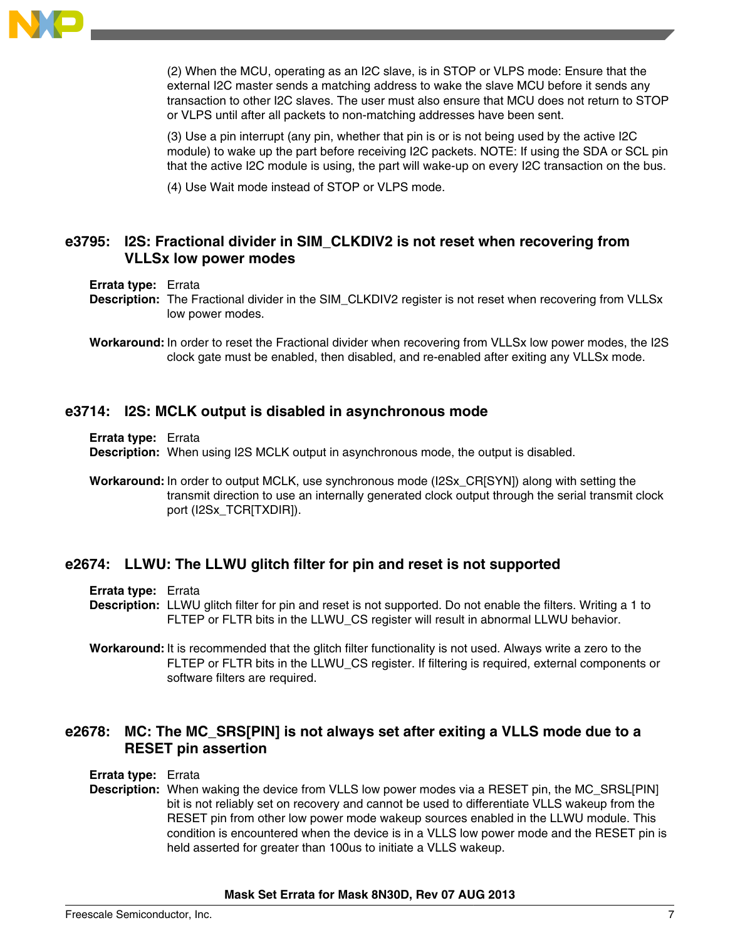

(2) When the MCU, operating as an I2C slave, is in STOP or VLPS mode: Ensure that the external I2C master sends a matching address to wake the slave MCU before it sends any transaction to other I2C slaves. The user must also ensure that MCU does not return to STOP or VLPS until after all packets to non-matching addresses have been sent.

(3) Use a pin interrupt (any pin, whether that pin is or is not being used by the active I2C module) to wake up the part before receiving I2C packets. NOTE: If using the SDA or SCL pin that the active I2C module is using, the part will wake-up on every I2C transaction on the bus.

(4) Use Wait mode instead of STOP or VLPS mode.

# **e3795: I2S: Fractional divider in SIM\_CLKDIV2 is not reset when recovering from VLLSx low power modes**

#### **Errata type:** Errata

**Description:** The Fractional divider in the SIM\_CLKDIV2 register is not reset when recovering from VLLSx low power modes.

**Workaround:** In order to reset the Fractional divider when recovering from VLLSx low power modes, the I2S clock gate must be enabled, then disabled, and re-enabled after exiting any VLLSx mode.

### **e3714: I2S: MCLK output is disabled in asynchronous mode**

**Errata type:** Errata

**Description:** When using I2S MCLK output in asynchronous mode, the output is disabled.

**Workaround:** In order to output MCLK, use synchronous mode (I2Sx\_CR[SYN]) along with setting the transmit direction to use an internally generated clock output through the serial transmit clock port (I2Sx\_TCR[TXDIR]).

### **e2674: LLWU: The LLWU glitch filter for pin and reset is not supported**

**Errata type:** Errata

**Description:** LLWU glitch filter for pin and reset is not supported. Do not enable the filters. Writing a 1 to FLTEP or FLTR bits in the LLWU\_CS register will result in abnormal LLWU behavior.

**Workaround:** It is recommended that the glitch filter functionality is not used. Always write a zero to the FLTEP or FLTR bits in the LLWU\_CS register. If filtering is required, external components or software filters are required.

# **e2678: MC: The MC\_SRS[PIN] is not always set after exiting a VLLS mode due to a RESET pin assertion**

#### **Errata type:** Errata

**Description:** When waking the device from VLLS low power modes via a RESET pin, the MC\_SRSL[PIN] bit is not reliably set on recovery and cannot be used to differentiate VLLS wakeup from the RESET pin from other low power mode wakeup sources enabled in the LLWU module. This condition is encountered when the device is in a VLLS low power mode and the RESET pin is held asserted for greater than 100us to initiate a VLLS wakeup.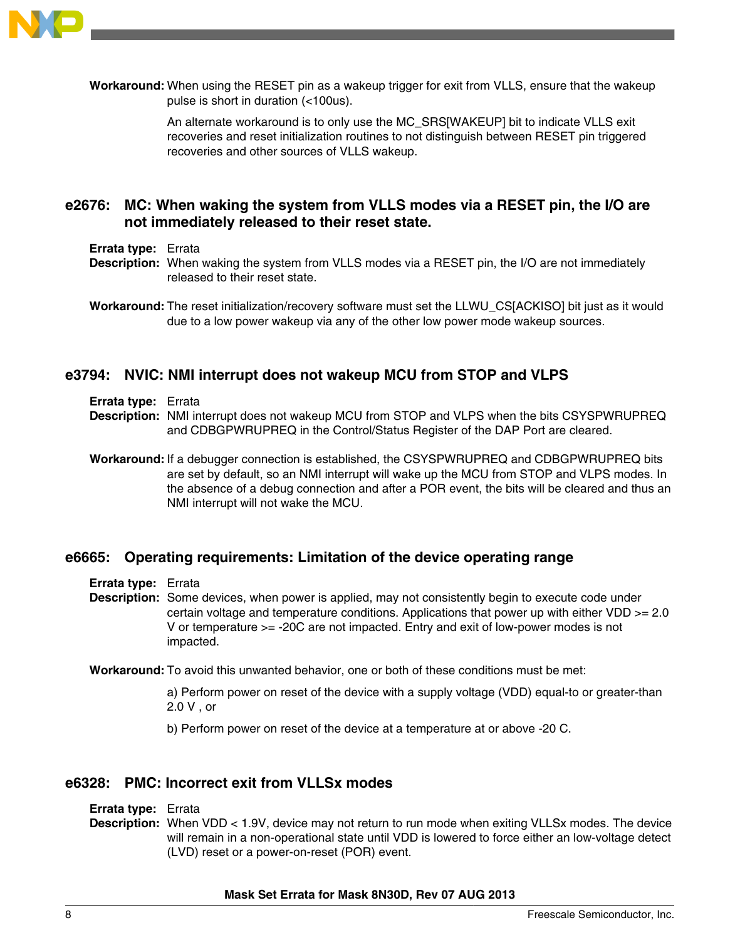

**Workaround:** When using the RESET pin as a wakeup trigger for exit from VLLS, ensure that the wakeup pulse is short in duration (<100us).

> An alternate workaround is to only use the MC\_SRS[WAKEUP] bit to indicate VLLS exit recoveries and reset initialization routines to not distinguish between RESET pin triggered recoveries and other sources of VLLS wakeup.

# **e2676: MC: When waking the system from VLLS modes via a RESET pin, the I/O are not immediately released to their reset state.**

- **Errata type:** Errata
- **Description:** When waking the system from VLLS modes via a RESET pin, the I/O are not immediately released to their reset state.

**Workaround:** The reset initialization/recovery software must set the LLWU\_CS[ACKISO] bit just as it would due to a low power wakeup via any of the other low power mode wakeup sources.

### **e3794: NVIC: NMI interrupt does not wakeup MCU from STOP and VLPS**

- **Errata type:** Errata
- **Description:** NMI interrupt does not wakeup MCU from STOP and VLPS when the bits CSYSPWRUPREQ and CDBGPWRUPREQ in the Control/Status Register of the DAP Port are cleared.
- **Workaround:** If a debugger connection is established, the CSYSPWRUPREQ and CDBGPWRUPREQ bits are set by default, so an NMI interrupt will wake up the MCU from STOP and VLPS modes. In the absence of a debug connection and after a POR event, the bits will be cleared and thus an NMI interrupt will not wake the MCU.

### **e6665: Operating requirements: Limitation of the device operating range**

- **Errata type:** Errata
- **Description:** Some devices, when power is applied, may not consistently begin to execute code under certain voltage and temperature conditions. Applications that power up with either VDD  $>= 2.0$ V or temperature >= -20C are not impacted. Entry and exit of low-power modes is not impacted.

**Workaround:** To avoid this unwanted behavior, one or both of these conditions must be met:

a) Perform power on reset of the device with a supply voltage (VDD) equal-to or greater-than 2.0 V , or

b) Perform power on reset of the device at a temperature at or above -20 C.

### **e6328: PMC: Incorrect exit from VLLSx modes**

#### **Errata type:** Errata

**Description:** When VDD < 1.9V, device may not return to run mode when exiting VLLSx modes. The device will remain in a non-operational state until VDD is lowered to force either an low-voltage detect (LVD) reset or a power-on-reset (POR) event.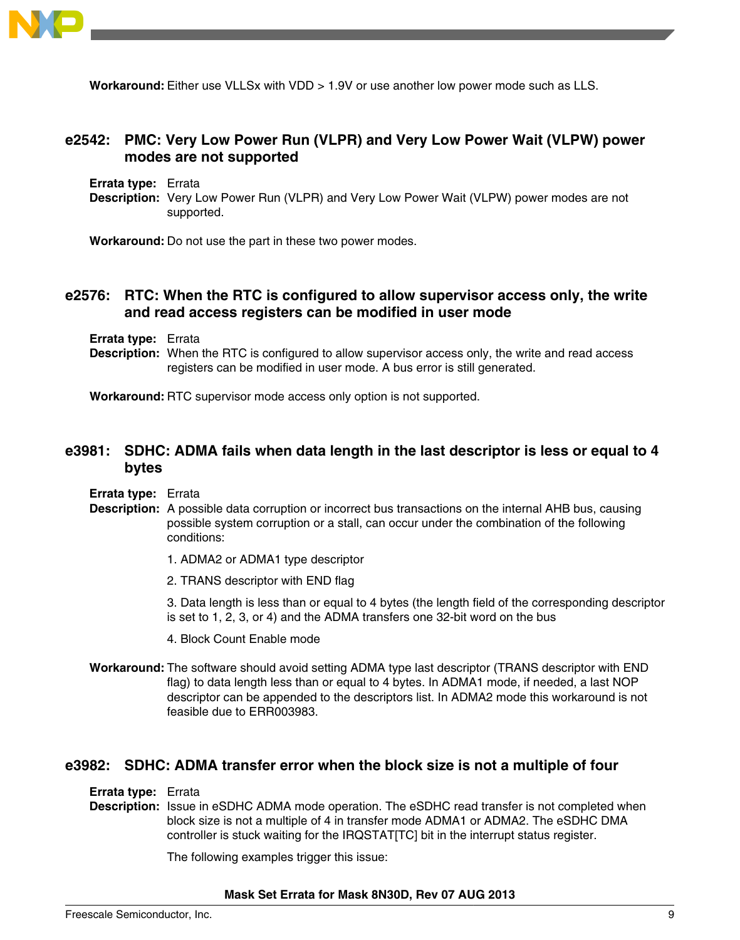

**Workaround:** Either use VLLSx with VDD > 1.9V or use another low power mode such as LLS.

# **e2542: PMC: Very Low Power Run (VLPR) and Very Low Power Wait (VLPW) power modes are not supported**

**Errata type:** Errata

**Description:** Very Low Power Run (VLPR) and Very Low Power Wait (VLPW) power modes are not supported.

**Workaround:** Do not use the part in these two power modes.

### **e2576: RTC: When the RTC is configured to allow supervisor access only, the write and read access registers can be modified in user mode**

**Errata type:** Errata

**Description:** When the RTC is configured to allow supervisor access only, the write and read access registers can be modified in user mode. A bus error is still generated.

**Workaround:** RTC supervisor mode access only option is not supported.

# **e3981: SDHC: ADMA fails when data length in the last descriptor is less or equal to 4 bytes**

- **Errata type:** Errata
- **Description:** A possible data corruption or incorrect bus transactions on the internal AHB bus, causing possible system corruption or a stall, can occur under the combination of the following conditions:
	- 1. ADMA2 or ADMA1 type descriptor
	- 2. TRANS descriptor with END flag

3. Data length is less than or equal to 4 bytes (the length field of the corresponding descriptor is set to 1, 2, 3, or 4) and the ADMA transfers one 32-bit word on the bus

- 4. Block Count Enable mode
- **Workaround:** The software should avoid setting ADMA type last descriptor (TRANS descriptor with END flag) to data length less than or equal to 4 bytes. In ADMA1 mode, if needed, a last NOP descriptor can be appended to the descriptors list. In ADMA2 mode this workaround is not feasible due to ERR003983.

#### **e3982: SDHC: ADMA transfer error when the block size is not a multiple of four**

**Errata type:** Errata

**Description:** Issue in eSDHC ADMA mode operation. The eSDHC read transfer is not completed when block size is not a multiple of 4 in transfer mode ADMA1 or ADMA2. The eSDHC DMA controller is stuck waiting for the IRQSTAT[TC] bit in the interrupt status register.

The following examples trigger this issue: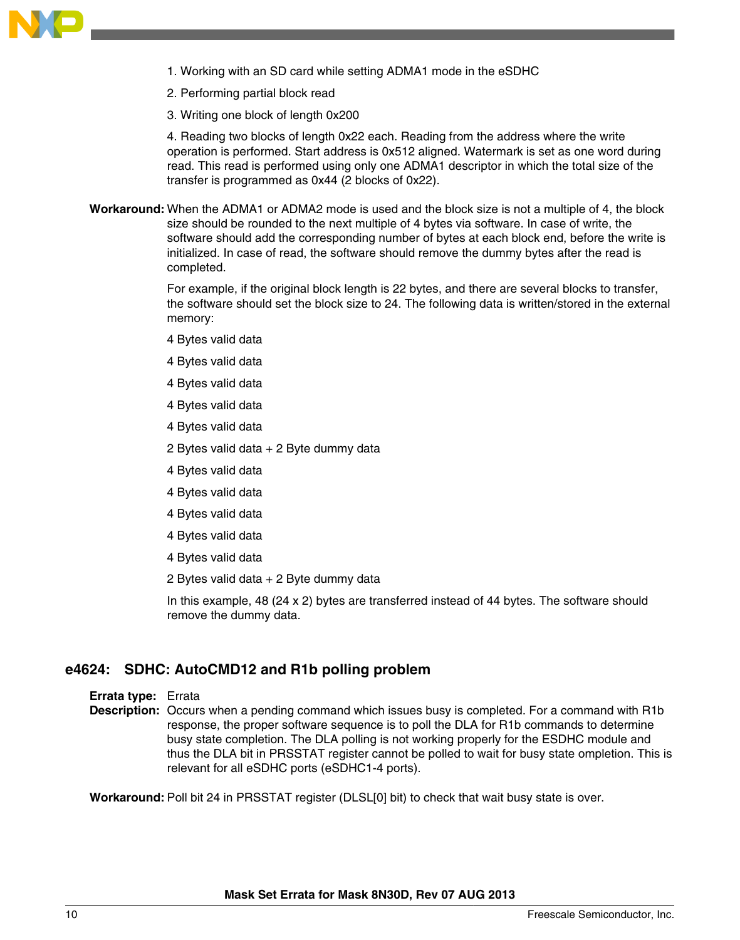

- 1. Working with an SD card while setting ADMA1 mode in the eSDHC
- 2. Performing partial block read
- 3. Writing one block of length 0x200

4. Reading two blocks of length 0x22 each. Reading from the address where the write operation is performed. Start address is 0x512 aligned. Watermark is set as one word during read. This read is performed using only one ADMA1 descriptor in which the total size of the transfer is programmed as 0x44 (2 blocks of 0x22).

**Workaround:** When the ADMA1 or ADMA2 mode is used and the block size is not a multiple of 4, the block size should be rounded to the next multiple of 4 bytes via software. In case of write, the software should add the corresponding number of bytes at each block end, before the write is initialized. In case of read, the software should remove the dummy bytes after the read is completed.

> For example, if the original block length is 22 bytes, and there are several blocks to transfer, the software should set the block size to 24. The following data is written/stored in the external memory:

- 4 Bytes valid data
- 4 Bytes valid data
- 4 Bytes valid data
- 4 Bytes valid data
- 4 Bytes valid data
- 2 Bytes valid data + 2 Byte dummy data
- 4 Bytes valid data
- 4 Bytes valid data
- 4 Bytes valid data
- 4 Bytes valid data
- 4 Bytes valid data
- 2 Bytes valid data + 2 Byte dummy data

In this example, 48 (24 x 2) bytes are transferred instead of 44 bytes. The software should remove the dummy data.

# **e4624: SDHC: AutoCMD12 and R1b polling problem**

#### **Errata type:** Errata

**Description:** Occurs when a pending command which issues busy is completed. For a command with R1b response, the proper software sequence is to poll the DLA for R1b commands to determine busy state completion. The DLA polling is not working properly for the ESDHC module and thus the DLA bit in PRSSTAT register cannot be polled to wait for busy state ompletion. This is relevant for all eSDHC ports (eSDHC1-4 ports).

**Workaround:** Poll bit 24 in PRSSTAT register (DLSL[0] bit) to check that wait busy state is over.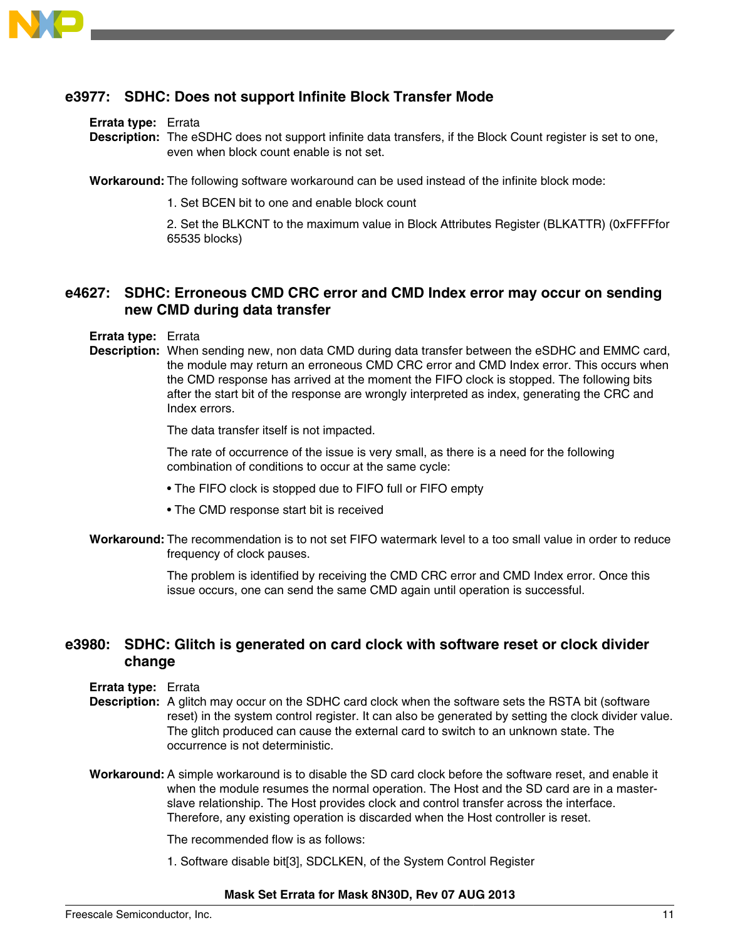

# **e3977: SDHC: Does not support Infinite Block Transfer Mode**

#### **Errata type:** Errata

**Description:** The eSDHC does not support infinite data transfers, if the Block Count register is set to one, even when block count enable is not set.

**Workaround:** The following software workaround can be used instead of the infinite block mode:

1. Set BCEN bit to one and enable block count

2. Set the BLKCNT to the maximum value in Block Attributes Register (BLKATTR) (0xFFFFfor 65535 blocks)

# **e4627: SDHC: Erroneous CMD CRC error and CMD Index error may occur on sending new CMD during data transfer**

**Errata type:** Errata

**Description:** When sending new, non data CMD during data transfer between the eSDHC and EMMC card, the module may return an erroneous CMD CRC error and CMD Index error. This occurs when the CMD response has arrived at the moment the FIFO clock is stopped. The following bits after the start bit of the response are wrongly interpreted as index, generating the CRC and Index errors.

The data transfer itself is not impacted.

The rate of occurrence of the issue is very small, as there is a need for the following combination of conditions to occur at the same cycle:

- The FIFO clock is stopped due to FIFO full or FIFO empty
- The CMD response start bit is received
- **Workaround:** The recommendation is to not set FIFO watermark level to a too small value in order to reduce frequency of clock pauses.

The problem is identified by receiving the CMD CRC error and CMD Index error. Once this issue occurs, one can send the same CMD again until operation is successful.

### **e3980: SDHC: Glitch is generated on card clock with software reset or clock divider change**

#### **Errata type:** Errata

- **Description:** A glitch may occur on the SDHC card clock when the software sets the RSTA bit (software reset) in the system control register. It can also be generated by setting the clock divider value. The glitch produced can cause the external card to switch to an unknown state. The occurrence is not deterministic.
- **Workaround:** A simple workaround is to disable the SD card clock before the software reset, and enable it when the module resumes the normal operation. The Host and the SD card are in a masterslave relationship. The Host provides clock and control transfer across the interface. Therefore, any existing operation is discarded when the Host controller is reset.

The recommended flow is as follows:

1. Software disable bit[3], SDCLKEN, of the System Control Register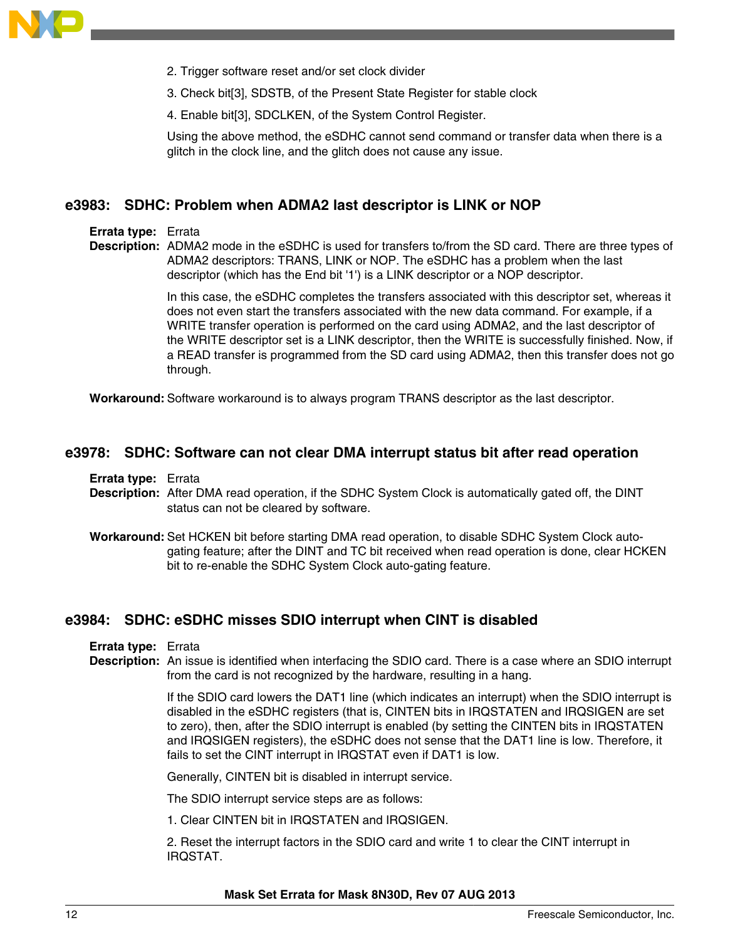

- 2. Trigger software reset and/or set clock divider
- 3. Check bit[3], SDSTB, of the Present State Register for stable clock
- 4. Enable bit[3], SDCLKEN, of the System Control Register.

Using the above method, the eSDHC cannot send command or transfer data when there is a glitch in the clock line, and the glitch does not cause any issue.

### **e3983: SDHC: Problem when ADMA2 last descriptor is LINK or NOP**

#### **Errata type:** Errata

**Description:** ADMA2 mode in the eSDHC is used for transfers to/from the SD card. There are three types of ADMA2 descriptors: TRANS, LINK or NOP. The eSDHC has a problem when the last descriptor (which has the End bit '1') is a LINK descriptor or a NOP descriptor.

> In this case, the eSDHC completes the transfers associated with this descriptor set, whereas it does not even start the transfers associated with the new data command. For example, if a WRITE transfer operation is performed on the card using ADMA2, and the last descriptor of the WRITE descriptor set is a LINK descriptor, then the WRITE is successfully finished. Now, if a READ transfer is programmed from the SD card using ADMA2, then this transfer does not go through.

**Workaround:** Software workaround is to always program TRANS descriptor as the last descriptor.

#### **e3978: SDHC: Software can not clear DMA interrupt status bit after read operation**

**Errata type:** Errata

- **Description:** After DMA read operation, if the SDHC System Clock is automatically gated off, the DINT status can not be cleared by software.
- **Workaround:** Set HCKEN bit before starting DMA read operation, to disable SDHC System Clock autogating feature; after the DINT and TC bit received when read operation is done, clear HCKEN bit to re-enable the SDHC System Clock auto-gating feature.

### **e3984: SDHC: eSDHC misses SDIO interrupt when CINT is disabled**

- **Errata type:** Errata
- **Description:** An issue is identified when interfacing the SDIO card. There is a case where an SDIO interrupt from the card is not recognized by the hardware, resulting in a hang.

If the SDIO card lowers the DAT1 line (which indicates an interrupt) when the SDIO interrupt is disabled in the eSDHC registers (that is, CINTEN bits in IRQSTATEN and IRQSIGEN are set to zero), then, after the SDIO interrupt is enabled (by setting the CINTEN bits in IRQSTATEN and IRQSIGEN registers), the eSDHC does not sense that the DAT1 line is low. Therefore, it fails to set the CINT interrupt in IRQSTAT even if DAT1 is low.

Generally, CINTEN bit is disabled in interrupt service.

The SDIO interrupt service steps are as follows:

1. Clear CINTEN bit in IRQSTATEN and IRQSIGEN.

2. Reset the interrupt factors in the SDIO card and write 1 to clear the CINT interrupt in IRQSTAT.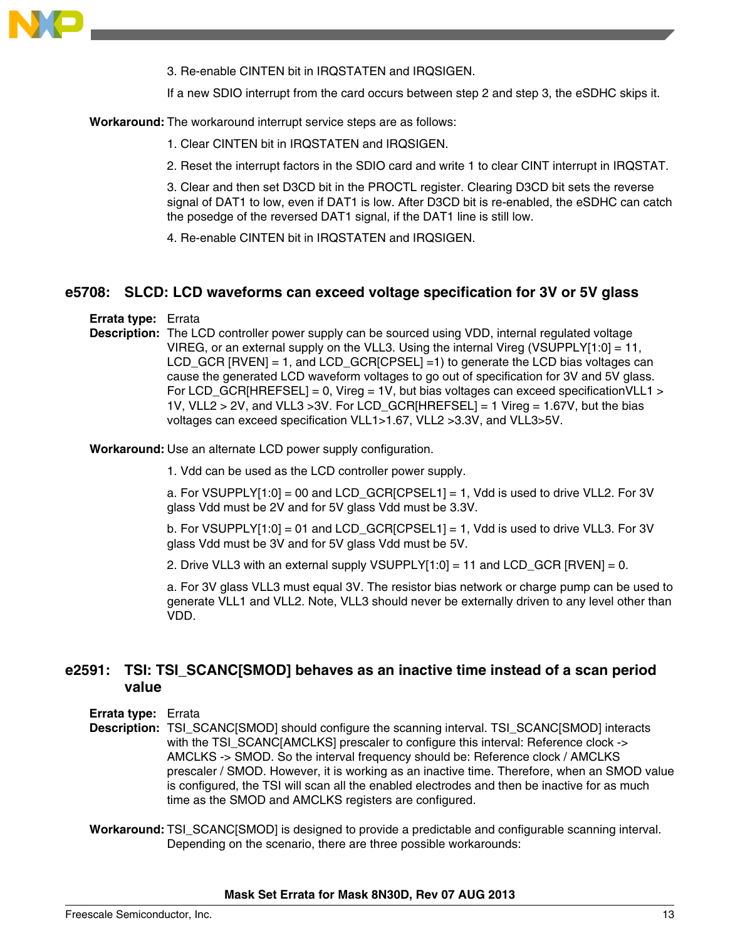

3. Re-enable CINTEN bit in IRQSTATEN and IRQSIGEN.

If a new SDIO interrupt from the card occurs between step 2 and step 3, the eSDHC skips it.

**Workaround:** The workaround interrupt service steps are as follows:

1. Clear CINTEN bit in IRQSTATEN and IRQSIGEN.

2. Reset the interrupt factors in the SDIO card and write 1 to clear CINT interrupt in IRQSTAT.

3. Clear and then set D3CD bit in the PROCTL register. Clearing D3CD bit sets the reverse signal of DAT1 to low, even if DAT1 is low. After D3CD bit is re-enabled, the eSDHC can catch the posedge of the reversed DAT1 signal, if the DAT1 line is still low.

4. Re-enable CINTEN bit in IRQSTATEN and IRQSIGEN.

### **e5708: SLCD: LCD waveforms can exceed voltage specification for 3V or 5V glass**

**Errata type:** Errata

**Description:** The LCD controller power supply can be sourced using VDD, internal regulated voltage VIREG, or an external supply on the VLL3. Using the internal Vireg (VSUPPLY[1:0] = 11, LCD GCR  $[RVEN] = 1$ , and LCD GCR $[CPSEL] =1$ ) to generate the LCD bias voltages can cause the generated LCD waveform voltages to go out of specification for 3V and 5V glass. For LCD GCR[HREFSEL] = 0, Vireg = 1V, but bias voltages can exceed specificationVLL1  $>$ 1V, VLL2 > 2V, and VLL3 > 3V. For LCD GCR $[HREFSEL] = 1$  Vireg = 1.67V, but the bias voltages can exceed specification VLL1>1.67, VLL2 >3.3V, and VLL3>5V.

**Workaround:** Use an alternate LCD power supply configuration.

1. Vdd can be used as the LCD controller power supply.

a. For VSUPPLY[1:0] = 00 and LCD\_GCR[CPSEL1] = 1, Vdd is used to drive VLL2. For 3V glass Vdd must be 2V and for 5V glass Vdd must be 3.3V.

b. For VSUPPLY[1:0] = 01 and LCD GCR[CPSEL1] = 1, Vdd is used to drive VLL3. For 3V glass Vdd must be 3V and for 5V glass Vdd must be 5V.

2. Drive VLL3 with an external supply VSUPPLY $[1:0] = 11$  and LCD GCR  $[RVEN] = 0$ .

a. For 3V glass VLL3 must equal 3V. The resistor bias network or charge pump can be used to generate VLL1 and VLL2. Note, VLL3 should never be externally driven to any level other than VDD.

# **e2591: TSI: TSI\_SCANC[SMOD] behaves as an inactive time instead of a scan period value**

**Errata type:** Errata

**Description:** TSI\_SCANC[SMOD] should configure the scanning interval. TSI\_SCANC[SMOD] interacts with the TSI\_SCANC[AMCLKS] prescaler to configure this interval: Reference clock -> AMCLKS -> SMOD. So the interval frequency should be: Reference clock / AMCLKS prescaler / SMOD. However, it is working as an inactive time. Therefore, when an SMOD value is configured, the TSI will scan all the enabled electrodes and then be inactive for as much time as the SMOD and AMCLKS registers are configured.

**Workaround:** TSI\_SCANC[SMOD] is designed to provide a predictable and configurable scanning interval. Depending on the scenario, there are three possible workarounds: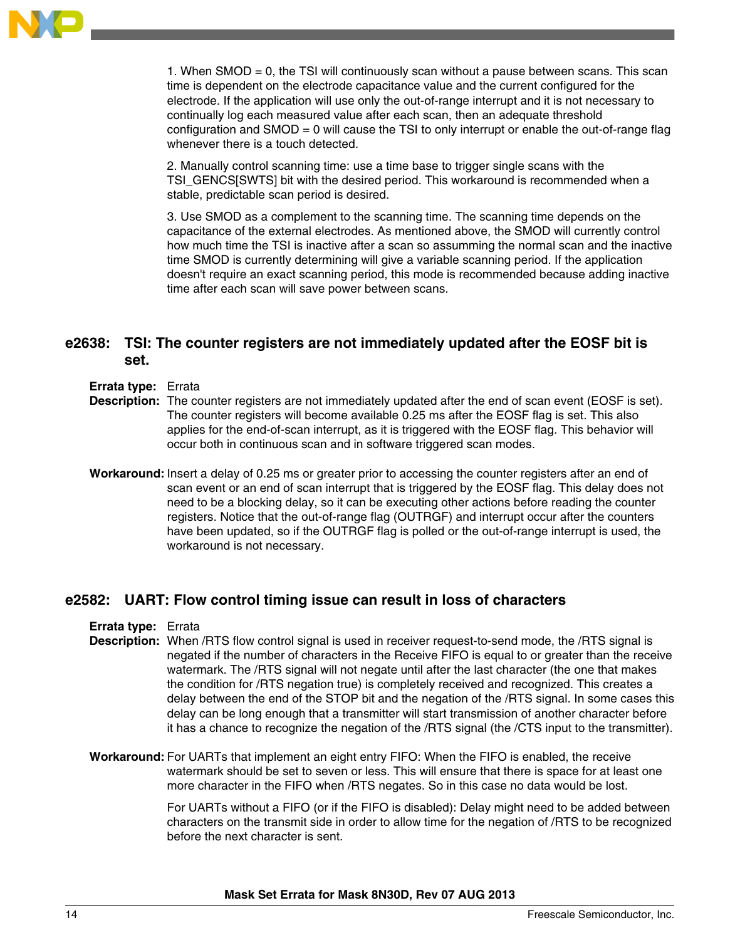

1. When SMOD = 0, the TSI will continuously scan without a pause between scans. This scan time is dependent on the electrode capacitance value and the current configured for the electrode. If the application will use only the out-of-range interrupt and it is not necessary to continually log each measured value after each scan, then an adequate threshold configuration and SMOD = 0 will cause the TSI to only interrupt or enable the out-of-range flag whenever there is a touch detected.

2. Manually control scanning time: use a time base to trigger single scans with the TSI\_GENCS[SWTS] bit with the desired period. This workaround is recommended when a stable, predictable scan period is desired.

3. Use SMOD as a complement to the scanning time. The scanning time depends on the capacitance of the external electrodes. As mentioned above, the SMOD will currently control how much time the TSI is inactive after a scan so assumming the normal scan and the inactive time SMOD is currently determining will give a variable scanning period. If the application doesn't require an exact scanning period, this mode is recommended because adding inactive time after each scan will save power between scans.

# **e2638: TSI: The counter registers are not immediately updated after the EOSF bit is set.**

- **Errata type:** Errata
- **Description:** The counter registers are not immediately updated after the end of scan event (EOSF is set). The counter registers will become available 0.25 ms after the EOSF flag is set. This also applies for the end-of-scan interrupt, as it is triggered with the EOSF flag. This behavior will occur both in continuous scan and in software triggered scan modes.
- **Workaround:** Insert a delay of 0.25 ms or greater prior to accessing the counter registers after an end of scan event or an end of scan interrupt that is triggered by the EOSF flag. This delay does not need to be a blocking delay, so it can be executing other actions before reading the counter registers. Notice that the out-of-range flag (OUTRGF) and interrupt occur after the counters have been updated, so if the OUTRGF flag is polled or the out-of-range interrupt is used, the workaround is not necessary.

### **e2582: UART: Flow control timing issue can result in loss of characters**

#### **Errata type:** Errata

- **Description:** When /RTS flow control signal is used in receiver request-to-send mode, the /RTS signal is negated if the number of characters in the Receive FIFO is equal to or greater than the receive watermark. The /RTS signal will not negate until after the last character (the one that makes the condition for /RTS negation true) is completely received and recognized. This creates a delay between the end of the STOP bit and the negation of the /RTS signal. In some cases this delay can be long enough that a transmitter will start transmission of another character before it has a chance to recognize the negation of the /RTS signal (the /CTS input to the transmitter).
- **Workaround:** For UARTs that implement an eight entry FIFO: When the FIFO is enabled, the receive watermark should be set to seven or less. This will ensure that there is space for at least one more character in the FIFO when /RTS negates. So in this case no data would be lost.

For UARTs without a FIFO (or if the FIFO is disabled): Delay might need to be added between characters on the transmit side in order to allow time for the negation of /RTS to be recognized before the next character is sent.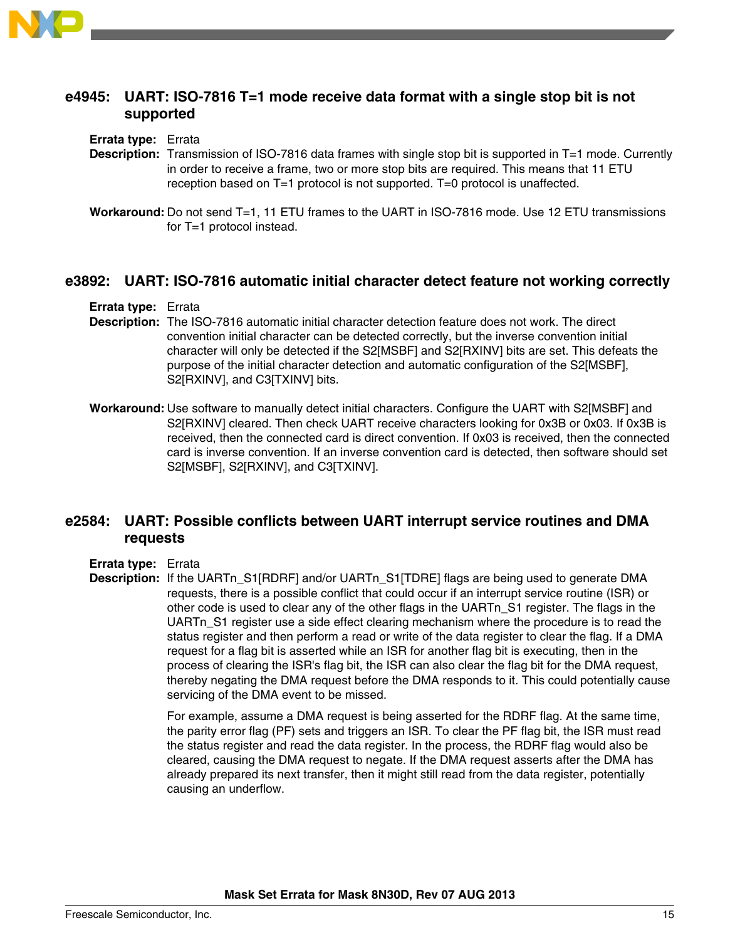

### **e4945: UART: ISO-7816 T=1 mode receive data format with a single stop bit is not supported**

#### **Errata type:** Errata

- **Description:** Transmission of ISO-7816 data frames with single stop bit is supported in T=1 mode. Currently in order to receive a frame, two or more stop bits are required. This means that 11 ETU reception based on T=1 protocol is not supported. T=0 protocol is unaffected.
- **Workaround:** Do not send T=1, 11 ETU frames to the UART in ISO-7816 mode. Use 12 ETU transmissions for T=1 protocol instead.

### **e3892: UART: ISO-7816 automatic initial character detect feature not working correctly**

### **Errata type:** Errata

- **Description:** The ISO-7816 automatic initial character detection feature does not work. The direct convention initial character can be detected correctly, but the inverse convention initial character will only be detected if the S2[MSBF] and S2[RXINV] bits are set. This defeats the purpose of the initial character detection and automatic configuration of the S2[MSBF], S2[RXINV], and C3[TXINV] bits.
- **Workaround:** Use software to manually detect initial characters. Configure the UART with S2[MSBF] and S2[RXINV] cleared. Then check UART receive characters looking for 0x3B or 0x03. If 0x3B is received, then the connected card is direct convention. If 0x03 is received, then the connected card is inverse convention. If an inverse convention card is detected, then software should set S2[MSBF], S2[RXINV], and C3[TXINV].

# **e2584: UART: Possible conflicts between UART interrupt service routines and DMA requests**

#### **Errata type:** Errata

**Description:** If the UARTn S1[RDRF] and/or UARTn S1[TDRE] flags are being used to generate DMA requests, there is a possible conflict that could occur if an interrupt service routine (ISR) or other code is used to clear any of the other flags in the UARTn\_S1 register. The flags in the UARTn\_S1 register use a side effect clearing mechanism where the procedure is to read the status register and then perform a read or write of the data register to clear the flag. If a DMA request for a flag bit is asserted while an ISR for another flag bit is executing, then in the process of clearing the ISR's flag bit, the ISR can also clear the flag bit for the DMA request, thereby negating the DMA request before the DMA responds to it. This could potentially cause servicing of the DMA event to be missed.

> For example, assume a DMA request is being asserted for the RDRF flag. At the same time, the parity error flag (PF) sets and triggers an ISR. To clear the PF flag bit, the ISR must read the status register and read the data register. In the process, the RDRF flag would also be cleared, causing the DMA request to negate. If the DMA request asserts after the DMA has already prepared its next transfer, then it might still read from the data register, potentially causing an underflow.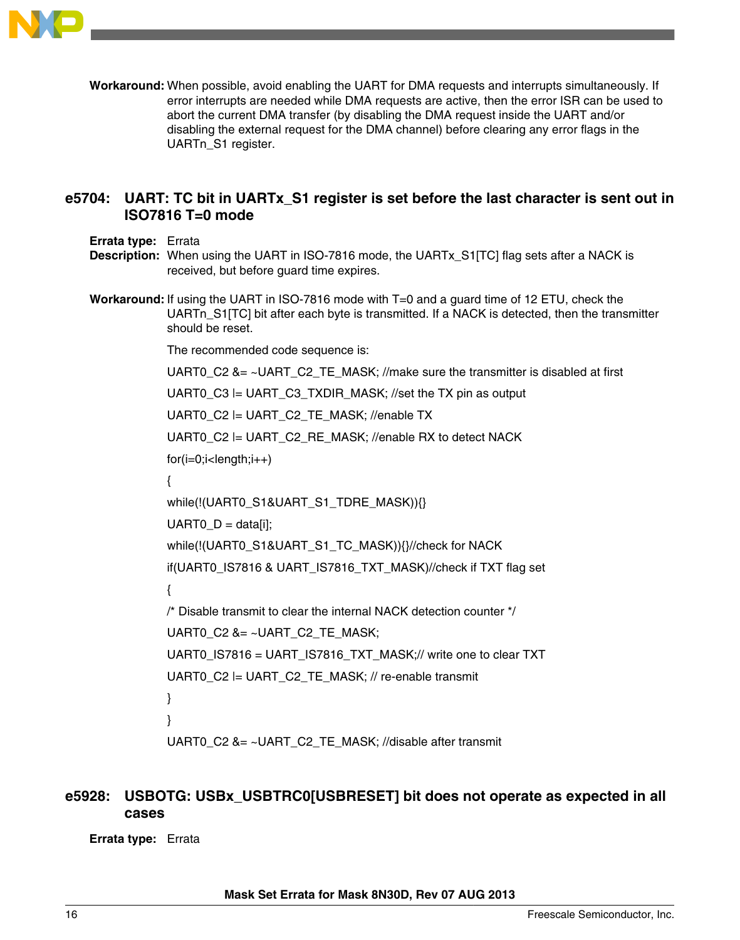

**Workaround:** When possible, avoid enabling the UART for DMA requests and interrupts simultaneously. If error interrupts are needed while DMA requests are active, then the error ISR can be used to abort the current DMA transfer (by disabling the DMA request inside the UART and/or disabling the external request for the DMA channel) before clearing any error flags in the UARTn\_S1 register.

# **e5704: UART: TC bit in UARTx\_S1 register is set before the last character is sent out in ISO7816 T=0 mode**

**Errata type:** Errata

- **Description:** When using the UART in ISO-7816 mode, the UARTx S1[TC] flag sets after a NACK is received, but before guard time expires.
- **Workaround:** If using the UART in ISO-7816 mode with T=0 and a guard time of 12 ETU, check the UARTn S1[TC] bit after each byte is transmitted. If a NACK is detected, then the transmitter should be reset.

The recommended code sequence is: UART0 C2 &= ~UART C2 TE MASK; //make sure the transmitter is disabled at first UART0 C3  $\models$  UART C3 TXDIR MASK; //set the TX pin as output UART0 C2 = UART C2 TE MASK; //enable TX UART0\_C2 |= UART\_C2\_RE\_MASK; //enable RX to detect NACK  $for(i=0;i$ { while(!(UART0\_S1&UART\_S1\_TDRE\_MASK)){}  $UARTO_D = data[i];$ while(!(UART0\_S1&UART\_S1\_TC\_MASK)){}//check for NACK if(UART0\_IS7816 & UART\_IS7816\_TXT\_MASK)//check if TXT flag set { /\* Disable transmit to clear the internal NACK detection counter \*/ UART0\_C2 &= ~UART\_C2\_TE\_MASK; UART0\_IS7816 = UART\_IS7816\_TXT\_MASK;// write one to clear TXT UART0  $C2$  = UART  $C2$  TE MASK; // re-enable transmit } } UART0 C2 &= ~UART C2 TE\_MASK; //disable after transmit

# **e5928: USBOTG: USBx\_USBTRC0[USBRESET] bit does not operate as expected in all cases**

**Errata type:** Errata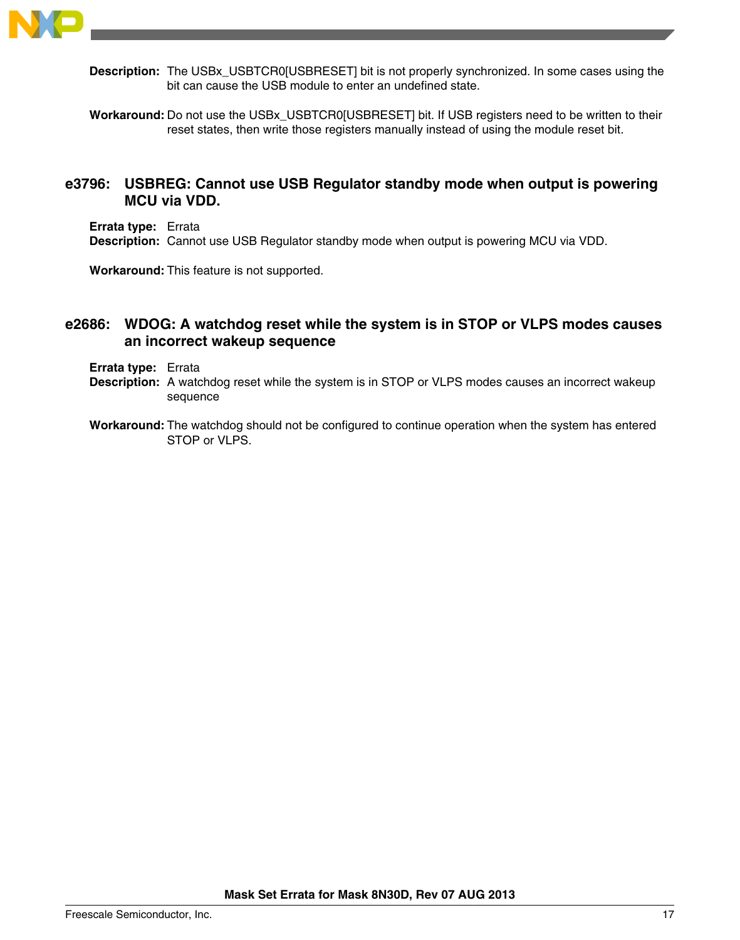

**Description:** The USBx USBTCR0[USBRESET] bit is not properly synchronized. In some cases using the bit can cause the USB module to enter an undefined state.

**Workaround:** Do not use the USBx\_USBTCR0[USBRESET] bit. If USB registers need to be written to their reset states, then write those registers manually instead of using the module reset bit.

### **e3796: USBREG: Cannot use USB Regulator standby mode when output is powering MCU via VDD.**

**Errata type:** Errata **Description:** Cannot use USB Regulator standby mode when output is powering MCU via VDD.

**Workaround:** This feature is not supported.

### **e2686: WDOG: A watchdog reset while the system is in STOP or VLPS modes causes an incorrect wakeup sequence**

**Errata type:** Errata

- **Description:** A watchdog reset while the system is in STOP or VLPS modes causes an incorrect wakeup sequence
- **Workaround:** The watchdog should not be configured to continue operation when the system has entered STOP or VLPS.